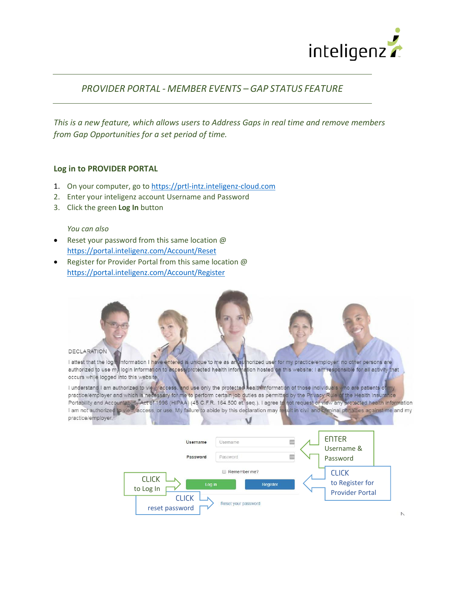

# *PROVIDER PORTAL - MEMBER EVENTS – GAP STATUS FEATURE*

*This is a new feature, which allows users to Address Gaps in real time and remove members from Gap Opportunities for a set period of time.*

### **Log in to PROVIDER PORTAL**

- 1. On your computer, go to [https://prtl-intz.inteligenz-cloud.com](https://prtl-intz.inteligenz-cloud.com/)
- 2. Enter your inteligenz account Username and Password
- 3. Click the green **Log In** button

#### *You can also*

- Reset your password from this same location @ <https://portal.inteligenz.com/Account/Reset>
- Register for Provider Portal from this same location @ <https://portal.inteligenz.com/Account/Register>



I attest that the logic information I have entered is unique to me as an authorized user for my practice/employer; no other persons are authorized to use my login information to access protected health information hosted o occurs while logged into this website, I understand I am authorized to view access, and use only the protected health information of those individuals who are patients of my

practice/employer and which is necessary for me to perform certain job duties as permitted by the Privacy Rule of the Health Insurance Portability and Accountability Act of 1996 (HIPAA) (45 C.F.R. 164.500 et. seq.). I agree to not request or view any protected health information I am not authorized to view, access, or use. My failure to abide by this declaration may result in civil and criminal penalties against me and my practice/employer.

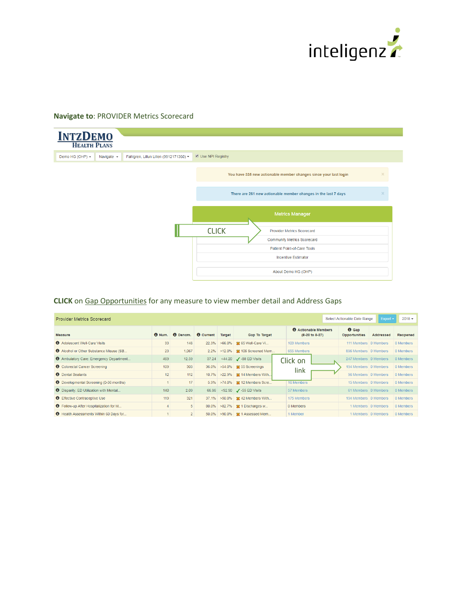

### **Navigate to**: PROVIDER Metrics Scorecard



## **CLICK** on Gap Opportunities for any measure to view member detail and Address Gaps

| <b>Provider Metrics Scorecard</b>              |               |                 |                  |        |                                                 |                                                          | Select Actionable Date Range         | $Export -$          | $2018 -$  |
|------------------------------------------------|---------------|-----------------|------------------|--------|-------------------------------------------------|----------------------------------------------------------|--------------------------------------|---------------------|-----------|
| <b>Measure</b>                                 | $\Theta$ Num. | <b>O</b> Denom. | <b>O</b> Current | Target | <b>Gap To Target</b>                            | <b>O</b> Actionable Members<br>$(8-20 \text{ to } 8-27)$ | $\Theta$ Gap<br><b>Opportunities</b> | Addressed           | Reopened  |
| <b>6</b> Adolescent Well-Care Visits           | 33            | 148             | 22.3%            |        | >66.0% \& 65 Well-Care Vi                       | 103 Members                                              | 111 Members 0 Members                |                     | 0 Members |
| Alcohol or Other Substance Misuse (SB          | 23            | 1.067           | 2.2%             |        | >12.0% \& 106 Screened Mem                      | 655 Members                                              | 896 Members 0 Members                |                     | 0 Members |
| <b>6</b> Ambulatory Care: Emergency Department | 469           | 12.59           | 37.24            |        | $\leq$ 44.20 $\sqrt{\phantom{0}}$ -88 ED Visits | Click on                                                 | 247 Members 0 Members                |                     | 0 Members |
| <b>6</b> Colorectal Cancer Screening           | 109           | 303             | 36.0%            |        | >54.0% % 55 Screenings                          |                                                          | 194 Members 0 Members                |                     | 0 Members |
| <b>O</b> Dental Sealants                       | 12            | 112             | 10.7%            |        | >22.9% \& 14 Members With                       | link                                                     | 96 Members 0 Members                 |                     | 0 Members |
| <b>Developmental Screening (0-36 months)</b>   |               | 17              | 5.9%             |        | >74.0% 22 Members Scre                          | <b>16 Members</b>                                        | 15 Members   0 Members               |                     | 0 Members |
| <b>O</b> Disparity: ED Utilization with Mental | 140           | 2.09            | 66.86            |        | <92.90 <b>/</b> -55 ED Visits                   | 57 Members                                               | 61 Members 0 Members                 |                     | 0 Members |
| <b>O</b> Effective Contraceptive Use           | 119           | 321             | 37.1%            |        | >50.0% \ \ \$2 42 Members With                  | 175 Members                                              | 194 Members 0 Members                |                     | 0 Members |
| <b>O</b> Follow-up After Hospitalization for M | 4             | 5 <sup>5</sup>  | 80.0%            |        | >82.7% \, \$2 1 Discharges w                    | 0 Members                                                |                                      | 1 Members 0 Members | 0 Members |
| <b>6</b> Health Assessments Within 60 Days for |               | 2 <sup>1</sup>  | 50.0%            |        | >90.0%   St 1 Assessed Mem                      | 1 Member                                                 |                                      | 1 Members 0 Members | 0 Members |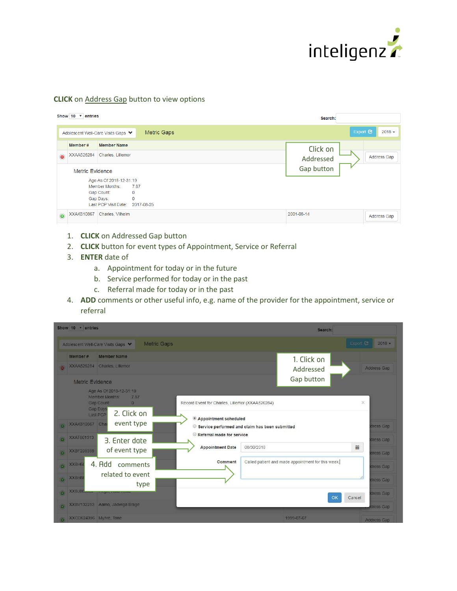

### **CLICK** on Address Gap button to view options

|           |                        |                                                                                                                              | Show $10 \times$ entries<br>Search: |            |                                   |  |  |  |
|-----------|------------------------|------------------------------------------------------------------------------------------------------------------------------|-------------------------------------|------------|-----------------------------------|--|--|--|
|           |                        | Adolescent Well-Care Visits Gaps ♥                                                                                           | Metric Gaps                         |            | Export $\mathfrak{S}$<br>$2018 -$ |  |  |  |
|           | Member #               | <b>Member Name</b>                                                                                                           |                                     | Click on   |                                   |  |  |  |
| $\bullet$ | XXAA526284             | Charles, Lillemor                                                                                                            |                                     | Addressed  | Address Gap                       |  |  |  |
|           | <b>Metric Evidence</b> |                                                                                                                              |                                     | Gap button |                                   |  |  |  |
|           |                        | Age As Of 2018-12-31:19<br>7.87<br>Member Months:<br>Gap Count:<br>0<br>0<br>Gap Days:<br>Last PCP Visit Date:<br>2017-08-25 |                                     |            |                                   |  |  |  |
| $\bullet$ | XXAK810867             | Charles, Vilhelm                                                                                                             |                                     | 2001-08-14 | Address Gap                       |  |  |  |

- 1. **CLICK** on Addressed Gap button
- 2. **CLICK** button for event types of Appointment, Service or Referral
- 3. **ENTER** date of
	- a. Appointment for today or in the future
	- b. Service performed for today or in the past
	- c. Referral made for today or in the past
- 4. **ADD** comments or other useful info, e.g. name of the provider for the appointment, service or referral

| Show 10 v entries                                                                                                                              | Search:                                                                                                                                 |                                   |
|------------------------------------------------------------------------------------------------------------------------------------------------|-----------------------------------------------------------------------------------------------------------------------------------------|-----------------------------------|
| <b>Metric Gaps</b><br>Adolescent Well-Care Visits Gaps ♥                                                                                       |                                                                                                                                         | Export B<br>$2018 -$              |
| <b>Member Name</b><br>Member #<br><b>XXAA526284</b><br>Charles, Lillemor<br>e.<br><b>Metric Evidence</b><br>Age As Of 2018-12-31:19            | 1. Click on<br>Addressed<br>Gap button                                                                                                  | Address Gap                       |
| Member Months:<br>7.87<br>Gap Count:<br>$\mathbf{0}$<br>Gap Days<br>2. Click on<br>Last PCP<br>event type<br><b>XXAK810867</b> Chai<br>$\odot$ | Record Event for Charles, Lillemor (XXAA526284)<br><sup>●</sup> Appointment scheduled<br>Service performed and claim has been submitted | ×<br>dress Gap                    |
| XXAT801313<br>$\left( 4\right)$<br>3. Enter date<br>of event type<br>XXBF208359<br>$\omega$                                                    | Referral made for service<br><b>Appointment Date</b><br>08/30/2018                                                                      | dress Gap<br>篇<br>dress Gap       |
| 4. Add comments<br>XXBH6<br>$\overline{\mathbf{c}}$<br>related to event<br>XXBH8<br>$\circledcirc$<br>type                                     | Comment<br>Called patient and made appointment for this week.                                                                           | dress Gap<br>dress Gap            |
| XXBJ8<br>$\omega$<br>XXBV132253 Aamo, Jadwiga Brage<br>$\omega$                                                                                | OK                                                                                                                                      | dress Gap<br>Cancel<br>ddress Gap |
| XXCD624396 Myhre, Tone                                                                                                                         | 1999-07-07                                                                                                                              | <b>Address Gap</b>                |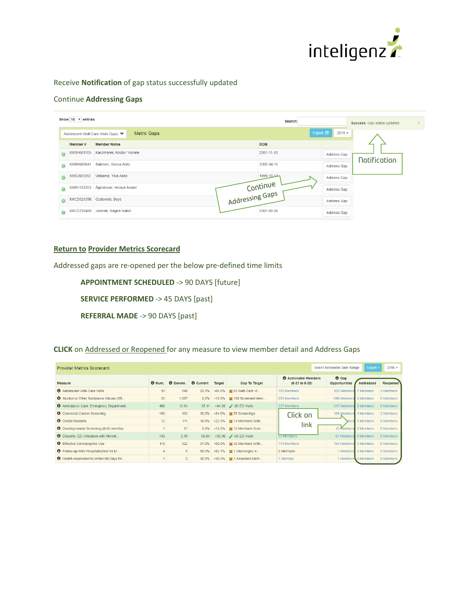

## Receive **Notification** of gap status successfully updated

### Continue **Addressing Gaps**

|                     | Show $10 \times$ entries |                                                   | Search:          |                    | Success: Gap status updated. | $\mathbb{X}$ . |
|---------------------|--------------------------|---------------------------------------------------|------------------|--------------------|------------------------------|----------------|
|                     |                          | Metric Gaps<br>Adolescent Well-Care Visits Gaps ♥ | Export $\bullet$ | $2018 -$           |                              |                |
|                     | Member #                 | <b>Member Name</b>                                | <b>DOB</b>       |                    |                              |                |
| $\odot$             | <b>XXBH601105</b>        | Kaczmarek, Knútur Yvonne                          | 2001-11-10       | <b>Address Gap</b> |                              |                |
| $\bullet$           | XXBH888641               | Salonen, Roosa Asko                               | 2005-04-15       | <b>Address Gap</b> | <b>Notification</b>          |                |
| $\odot$             | XXBJ805352               | Valkama, Ylva Asko                                | 1999-10-14       | <b>Address Gap</b> |                              |                |
| $\ddot{\mathbf{o}}$ | XXBV132253               | Ágústsson, Henryk Isabel                          |                  | Address Gap        |                              |                |
| $\odot$             | XXCD624396               | Ozdowski, Boye                                    | Continue         | <b>Address Gap</b> |                              |                |
| $\odot$             | <b>XXCD729430</b>        | Janosik, Ragna Isabel                             | 2001-03-26       | Address Gap        |                              |                |

#### **Return to Provider Metrics Scorecard**

Addressed gaps are re-opened per the below pre-defined time limits

**APPOINTMENT SCHEDULED** -> 90 DAYS [future]

**SERVICE PERFORMED** -> 45 DAYS [past]

**REFERRAL MADE** -> 90 DAYS [past]

**CLICK** on Addressed or Reopened for any measure to view member detail and Address Gaps

| Select Actionable Date Range<br><b>Provider Metrics Scorecard</b> |               |                                  |       |               |                               |                                               |                                      |                     | Export $\sim$<br>$2018 -$ |
|-------------------------------------------------------------------|---------------|----------------------------------|-------|---------------|-------------------------------|-----------------------------------------------|--------------------------------------|---------------------|---------------------------|
| <b>Measure</b>                                                    | $\Theta$ Num. | <b>8</b> Denom. <b>8</b> Current |       | <b>Target</b> | <b>Gap To Target</b>          | <b>6</b> Actionable Members<br>(8-21 to 8-28) | $\Theta$ Gap<br><b>Opportunities</b> | Addressed           | Reopened <sup>'</sup>     |
| Adolescent Well-Care Visits                                       | 33            | 148                              | 22.3% |               | >66.0% \& 65 Well-Care Vi     | 102 Members                                   | 102 Members                          | 7 Members           | 2 Members                 |
| Alcohol or Other Substance Misuse (SB                             | 23            | 1.067                            | 2.2%  |               | >12.0% \& 106 Screened Mem    | 655 Members                                   | 896 Members                          | 0 Members           | 0 Members                 |
| <b>6</b> Ambulatory Care: Emergency Department                    | 469           | 12.64                            | 37.11 |               | <44.20 / -90 ED Visits        | 227 Members                                   | 247 Members                          | 0 Members           | 0 Members                 |
| <b>O</b> Colorectal Cancer Screening                              | 109           | 303                              |       |               | 36.0% >54.0% % 55 Screenings  | Click on                                      | 189 Members 3 Members                |                     | 2 Members                 |
| <b>6</b> Dental Sealants                                          | 12            | 111                              | 10.8% |               | >22.9% % 14 Members With      |                                               | when                                 | 5 Members           | 0 Members                 |
| <b>O</b> Developmental Screening (0-36 months)                    |               | 17                               | 5.9%  |               | >74.0%   22 12 Members Scre   | link                                          | 15 Members                           | 0 Members           | 0 Members                 |
| <b>O</b> Disparity: ED Utilization with Mental                    | 140           | 2.10                             | 66.64 |               | <92.90 <b>/</b> -56 ED Visits | 57 Members                                    | 61 Members                           | s 0 Members         | 0 Members                 |
| <b>6</b> Effective Contraceptive Use                              | 119           | 322                              | 37.0% |               | >50.0% \& 42 Members With     | 174 Members                                   | 194 Members 0 Members                |                     | 0 Members                 |
| <b>O</b> Follow-up After Hospitalization for M                    |               | 5                                | 80.0% | $>82.7\%$     | <sup>1</sup> 1 Discharges w   | 0 Members                                     |                                      | 1 Members 0 Members | 0 Members                 |
| <b>O</b> Health Assessments Within 60 Days for                    |               | $\overline{2}$                   | 50.0% |               | >90.0% % 1 Assessed Mem       | 1 Member                                      |                                      | 1 Members 0 Members | 0 Members                 |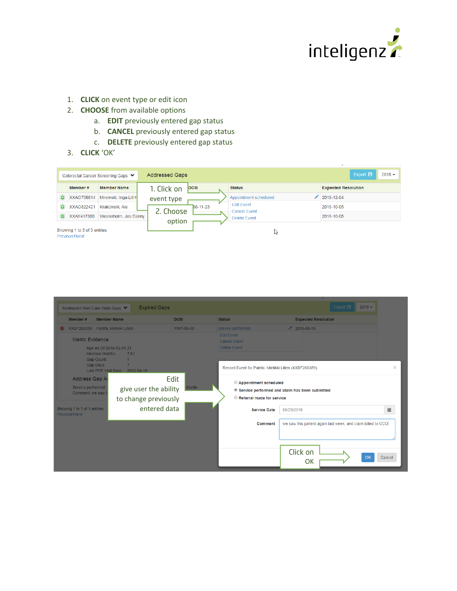

- 1. **CLICK** on event type or edit icon
- 2. **CHOOSE** from available options
	- a. **EDIT** previously entered gap status
	- b. **CANCEL** previously entered gap status
	- c. **DELETE** previously entered gap status
- 3. **CLICK** 'OK'

|           |                                              | Colorectal Cancer Screening Gaps ♥ | <b>Addressed Gaps</b> |            |                                          | Export <b>C</b><br>$2018 -$ |
|-----------|----------------------------------------------|------------------------------------|-----------------------|------------|------------------------------------------|-----------------------------|
|           | Member #                                     | <b>Member Name</b>                 | 1. Click on           | <b>DOB</b> | <b>Status</b>                            | <b>Expected Resolution</b>  |
| $\bullet$ | XXAO756614                                   | Mirowski, Inga-Lill H              | event type            |            | Appointment scheduled                    | 2018-12-04                  |
| $\bullet$ | XXAO822421                                   | Krakowski, Ale                     | 2. Choose             | 66-11-23   | <b>Edit Event</b><br><b>Cancel Event</b> | 2018-10-05                  |
| $\bullet$ | XXAY417300                                   | Westerholm, Jes Danny              |                       |            | Delete Event                             | 2018-10-05                  |
|           | Showing 1 to 3 of 3 entries<br>Previous1Next |                                    | option                |            | パ                                        |                             |

|                                                           | <b>Expired Gaps</b><br>Adolescent Well-Care Visits Gaps ♥              |                       |                                                                                                      | Export <b>C</b><br>$2018 -$                                  |
|-----------------------------------------------------------|------------------------------------------------------------------------|-----------------------|------------------------------------------------------------------------------------------------------|--------------------------------------------------------------|
| Member #                                                  | <b>Member Name</b>                                                     | <b>DOB</b>            | <b>Status</b>                                                                                        | <b>Expected Resolution</b>                                   |
| ⊝                                                         | XXBF208359 Paleta, Mielikki Lillen                                     | 1997-05-30            | Service performed                                                                                    | $12018 - 08 - 16$                                            |
| Metric Evidence                                           | Age As Of 2018-12-31:21<br><b>Member Months:</b><br>7.61<br>Gap Count: |                       | <b>Edit Event</b><br><b>Cancel Event</b><br><b>Delete Event</b>                                      |                                                              |
|                                                           | Gap Days:<br>Last PCP Visit Date:<br>2012-04-19                        |                       | Record Event for Paleta, Mielikki Lillen (XXBF208359)                                                |                                                              |
| Address Gap Ar<br>Service performed:<br>Comment: we saw t | give user the ability<br>to change previously                          | Edit<br><b>Martin</b> | Appointment scheduled<br>Service performed and claim has been submitted<br>Referral made for service |                                                              |
| Showing 1 to 1 of 1 entries<br>Previous1Next              | entered data                                                           |                       | <b>Service Date</b>                                                                                  | 盖<br>08/23/2018                                              |
|                                                           |                                                                        |                       | Comment                                                                                              | we saw this patient again last week, and claim billed to CCO |
|                                                           |                                                                        |                       |                                                                                                      | Click on<br>Cancel<br>OK<br>OK                               |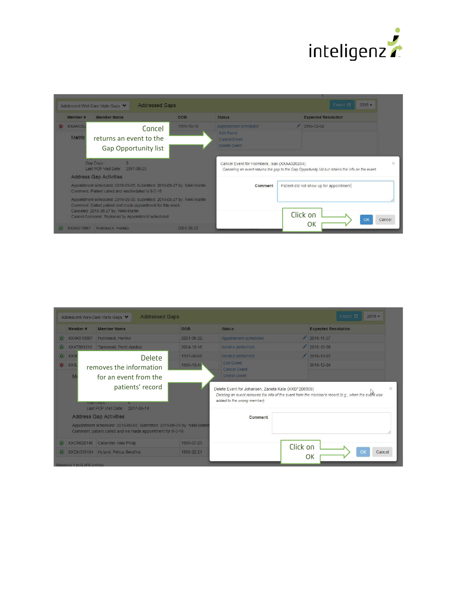

| Member #                  | <b>Member Name</b>                                                                                                                                              | <b>DOB</b> | <b>Status</b>                                                                                                                                     | <b>Expected Resolution</b> |                                         |  |
|---------------------------|-----------------------------------------------------------------------------------------------------------------------------------------------------------------|------------|---------------------------------------------------------------------------------------------------------------------------------------------------|----------------------------|-----------------------------------------|--|
| <b>XXAA5262</b><br>Metric | Cancel<br>returns an event to the<br><b>Gap Opportunity list</b>                                                                                                | 1999-10-10 | Appointment scheduled<br><b>Edit Event</b><br><b>Cancel Event</b><br>Delete Event                                                                 | $2018 - 12 - 04$           |                                         |  |
|                           |                                                                                                                                                                 |            |                                                                                                                                                   |                            |                                         |  |
|                           | Gap Days:<br>n<br>Last PCP Visit Date:<br>2017-08-25                                                                                                            |            | Cancel Event for Holmbeck, Isak (XXAA526284)<br>Canceling an event returns the gap to the Gap Opportunity list but retains the info on the event. |                            |                                         |  |
|                           | <b>Address Gap Activities</b><br>Appointment scheduled: 2018-09-05; Submitted: 2018-08-27 by: Nikki Martin<br>Comment: Patient called and rescheduled to 9-5-18 |            | Comment                                                                                                                                           |                            | Patient did not show up for appointment |  |

| Member #          |           | <b>Member Name</b>                                                                                                                                                       | <b>DOB</b> | <b>Status</b>                                                                                                                                                                            |          | <b>Expected Resolution</b> |  |
|-------------------|-----------|--------------------------------------------------------------------------------------------------------------------------------------------------------------------------|------------|------------------------------------------------------------------------------------------------------------------------------------------------------------------------------------------|----------|----------------------------|--|
| <b>XXAK810867</b> |           | Holmbeck, Herkko                                                                                                                                                         | 2001-08-22 | Appointment scheduled                                                                                                                                                                    |          | $2018 - 11 - 27$           |  |
| <b>XXAT801313</b> |           | Tarnowski, Pertti Anelise                                                                                                                                                | 2004-10-15 | Service performed                                                                                                                                                                        |          | $2018 - 10 - 05$           |  |
| O XXBF            |           | <b>Delete</b>                                                                                                                                                            | 1997-06-05 | Service performed                                                                                                                                                                        |          | $2018 - 10 - 07$           |  |
| $\bullet$ XXB.    |           | removes the information                                                                                                                                                  | 1999-10-14 | <b>Edit</b> Event<br><b>Cancel Event</b>                                                                                                                                                 |          | 2018-12-04                 |  |
|                   |           |                                                                                                                                                                          |            |                                                                                                                                                                                          |          |                            |  |
| M                 |           | for an event from the                                                                                                                                                    |            | Delete Event                                                                                                                                                                             |          |                            |  |
|                   | bay yays. | patients' record<br>Last PCP Visit Date:<br>2017-09-14                                                                                                                   |            | Delete Event for Johansen, Zaneta Kate (XXBF208359)<br>Deleting an event removes the info of the event from the member's record (e.g., when the event was<br>added to the wrong member). |          |                            |  |
|                   |           | <b>Address Gap Activities</b><br>Appointment scheduled: 2018-09-05; Submitted: 2018-08-28 by: Nikki Martin<br>Comment: patient called and we made appointment for 9-5-18 |            | Comment                                                                                                                                                                                  |          |                            |  |
| $\odot$           |           | XXCR620146 Callander, Max Philip                                                                                                                                         | 1999-07-23 |                                                                                                                                                                                          | Click on |                            |  |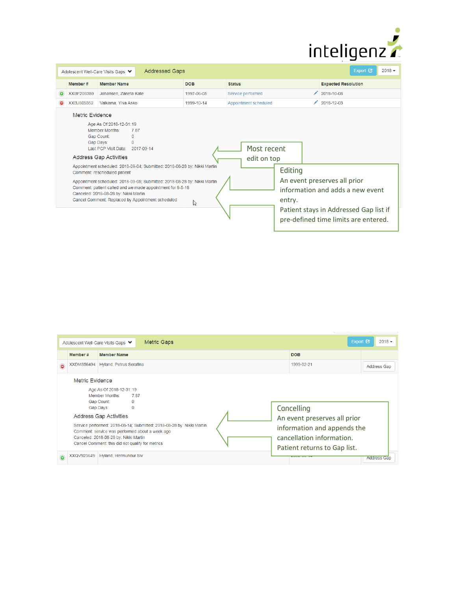

|                 | <b>Addressed Gaps</b><br>Adolescent Well-Care Visits Gaps ♥                                                                                                                                                                                                                                                                                                                                                                                                                                                                    |            |                                                 | Export <b>C</b><br>$2018 -$                                                                                                                        |
|-----------------|--------------------------------------------------------------------------------------------------------------------------------------------------------------------------------------------------------------------------------------------------------------------------------------------------------------------------------------------------------------------------------------------------------------------------------------------------------------------------------------------------------------------------------|------------|-------------------------------------------------|----------------------------------------------------------------------------------------------------------------------------------------------------|
| Member #        | <b>Member Name</b>                                                                                                                                                                                                                                                                                                                                                                                                                                                                                                             | <b>DOB</b> | <b>Status</b>                                   | <b>Expected Resolution</b>                                                                                                                         |
| XXBF208359      | Johansen, Zaneta Kate                                                                                                                                                                                                                                                                                                                                                                                                                                                                                                          | 1997-06-05 | Service performed                               | 2018-10-08                                                                                                                                         |
| XXBJ805352      | Valkama, Ylva Asko                                                                                                                                                                                                                                                                                                                                                                                                                                                                                                             | 1999-10-14 | Appointment scheduled                           | 2018-12-03                                                                                                                                         |
| Metric Evidence | Age As Of 2018-12-31:19<br>Member Months:<br>7.87<br>Gap Count:<br>$\Omega$<br>Gap Days:<br>$\Omega$<br>Last PCP Visit Date: 2017-09-14<br><b>Address Gap Activities</b><br>Appointment scheduled: 2018-09-04; Submitted: 2018-08-28 by: Nikki Martin<br>Comment: rescheduled patient<br>Appointment scheduled: 2018-09-05; Submitted: 2018-08-28 by: Nikki Martin<br>Comment: patient called and we made appointment for 9-5-18<br>Canceled: 2018-08-28 by: Nikki Martin<br>Cancel Comment: Replaced by Appointment scheduled | ド          | Most recent<br>edit on top<br>Editing<br>entry. | An event preserves all prior<br>information and adds a new event<br>Patient stays in Addressed Gap list if<br>pre-defined time limits are entered. |

|                                                                                                                                                                                                                       |                 | Metric Gaps<br>Adolescent Well-Care Visits Gaps ♥                                        |                                                                                          | Export $\mathbf G$<br>$2018 -$ |  |
|-----------------------------------------------------------------------------------------------------------------------------------------------------------------------------------------------------------------------|-----------------|------------------------------------------------------------------------------------------|------------------------------------------------------------------------------------------|--------------------------------|--|
|                                                                                                                                                                                                                       | Member #        | <b>Member Name</b>                                                                       | <b>DOB</b>                                                                               |                                |  |
| $\bullet$                                                                                                                                                                                                             | XXDM356494      | Hyland, Petrus Serafina                                                                  | 1999-02-21                                                                               | <b>Address Gap</b>             |  |
|                                                                                                                                                                                                                       | Metric Evidence | Age As Of 2018-12-31:19<br>Member Months:<br>787                                         |                                                                                          |                                |  |
|                                                                                                                                                                                                                       |                 | Gap Count:<br>$\mathbf{0}$<br>Gap Days:<br>$\mathbf{O}$<br><b>Address Gap Activities</b> | Cancelling<br>An event preserves all prior                                               |                                |  |
| Service performed: 2018-08-14; Submitted: 2018-08-28 by: Nikki Martin<br>Comment: service was performed about a week ago<br>Canceled: 2018-08-28 by: Nikki Martin<br>Cancel Comment: this did not qualify for metrics |                 |                                                                                          | information and appends the<br>cancellation information.<br>Patient returns to Gap list. |                                |  |
| $\bullet$                                                                                                                                                                                                             | XXQV923649      | Hyland, Hermundur Siv                                                                    |                                                                                          | <b>Address Gap</b>             |  |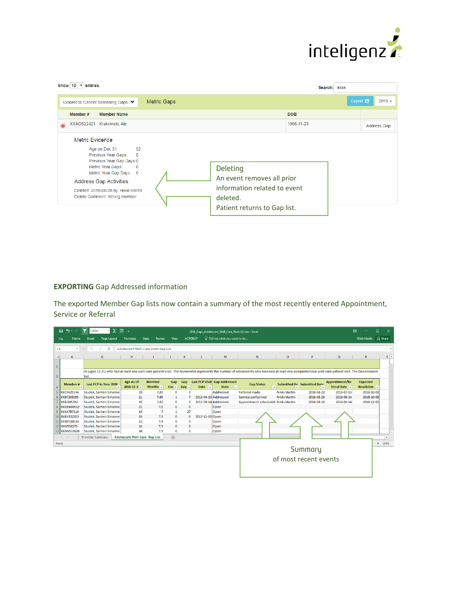

|           | Show $10 \times$ entries |                                                                                                                                                                                                                                                   |                    |                                                                                                                    | Search: krak                 |
|-----------|--------------------------|---------------------------------------------------------------------------------------------------------------------------------------------------------------------------------------------------------------------------------------------------|--------------------|--------------------------------------------------------------------------------------------------------------------|------------------------------|
|           |                          | Colorectal Cancer Screening Gaps ♥                                                                                                                                                                                                                | <b>Metric Gaps</b> |                                                                                                                    | Export $\bullet$<br>$2018 -$ |
|           | Member #                 | <b>Member Name</b>                                                                                                                                                                                                                                |                    | <b>DOB</b>                                                                                                         |                              |
| $\bullet$ | XXAO822421               | Krakowski, Ale                                                                                                                                                                                                                                    |                    | 1966-11-23                                                                                                         | Address Gap                  |
|           | <b>Metric Evidence</b>   | Age on Dec 31:<br>52<br>Previous Year Gaps:<br>$\Omega$<br>Previous Year Gap Days:0<br>Metric Year Gaps:<br>0<br>Metric Year Gap Days: 0<br><b>Address Gap Activities</b><br>Deleted: 2018-08-28 by: Nikki Martin<br>Delete Comment: Wrong member |                    | Deleting<br>An event removes all prior<br>information related to event<br>deleted.<br>Patient returns to Gap list. |                              |

## **EXPORTING** Gap Addressed information

The exported Member Gap lists now contain a summary of the most recently entered Appointment, Service or Referral

|                | 日<br>$\epsilon$ .        | Calibri                  | $\Sigma$ $\overline{M}$ = |                                      |                                 |                          |                |                               | 2018 Gaps Adolescent Well Care Visits (2) xlsx - Excel |                                                                                                                                                                                                    |                     |                                    |                | 困                    | о<br>$\times$ |    |
|----------------|--------------------------|--------------------------|---------------------------|--------------------------------------|---------------------------------|--------------------------|----------------|-------------------------------|--------------------------------------------------------|----------------------------------------------------------------------------------------------------------------------------------------------------------------------------------------------------|---------------------|------------------------------------|----------------|----------------------|---------------|----|
|                | <b>File</b><br>Home      | Page Layout<br>Insert    |                           | <b>Formulas</b>                      | Data<br>Review                  | View                     | <b>ACROBAT</b> |                               | Q Tell me what you want to do                          |                                                                                                                                                                                                    |                     |                                    |                | Nikki Martin Q Share |               |    |
| C3             | $\overline{\phantom{a}}$ | $\times$<br>fx           |                           | Adolescent Well-Care Visits Gap List |                                 |                          |                |                               |                                                        |                                                                                                                                                                                                    |                     |                                    |                |                      |               |    |
|                |                          |                          |                           |                                      |                                 |                          |                |                               |                                                        |                                                                                                                                                                                                    |                     |                                    |                |                      |               |    |
|                | A                        | G                        |                           | H                                    |                                 |                          |                |                               | M                                                      | N                                                                                                                                                                                                  | $\circ$             | P                                  | $\alpha$       | R                    | $S^{\perp}$   |    |
| $\mathbf{1}$   |                          |                          |                           |                                      |                                 |                          |                |                               |                                                        |                                                                                                                                                                                                    |                     |                                    |                |                      |               |    |
|                |                          |                          |                           |                                      |                                 |                          |                |                               |                                                        | its (ages 12-21) who had at least one well-care patient visit. The Numerator represents the number of adolescents who received at least one comprehensive well-care patient visit. The Denominator |                     |                                    |                |                      |               |    |
| $\overline{2}$ |                          | iod.                     |                           |                                      |                                 |                          |                |                               |                                                        |                                                                                                                                                                                                    |                     |                                    |                |                      |               |    |
|                | <b>Member#</b>           | Last PCP in Year 2018    |                           | Age As Of                            | <b>Member</b>                   | Gap                      | Gap            |                               | Last PCP Visit Gap Addressed                           | <b>Gap Status</b>                                                                                                                                                                                  |                     | <b>Submitted Bv</b> Submitted Date | Appointment/Re | <b>Expected</b>      |               |    |
| 4              |                          |                          |                           | $2018 - 12 - 3$                      | Months $\overline{\phantom{a}}$ | $Cou -$                  | Day: -         | Date $\overline{\phantom{a}}$ | <b>State</b><br>$ $ $\downarrow$ 1                     | $\mathbf{v}$                                                                                                                                                                                       |                     | $\overline{\phantom{a}}$           | ferral Date    | Resoluion –          |               |    |
| 5              | XXCR620146               | Siudek, Santeri Sirianne |                           | 19                                   | 7.87                            | $\mathbf{0}$             | $\mathbf 0$    |                               | Addressed                                              | <b>Referral made</b>                                                                                                                                                                               | Nikki Martin        | 2018-08-28                         | 2018-07-03     | 2018-10-01           |               |    |
|                | 6 XXBF208359             | Siudek, Santeri Sirianne |                           | 21                                   | 7.65                            | 1                        |                | 2012-04-19 Addressed          |                                                        | Service performed                                                                                                                                                                                  | <b>Nikki Martin</b> | 2018-08-28                         | 2018-08-24     | 2018-10-08           |               |    |
|                | XXBJ805352               | Siudek, Santeri Sirianne |                           | 19                                   | 7.87                            | $\bullet$                |                | 2017-09-14 Addressed          |                                                        | Appointment scheduled Nikki Martin                                                                                                                                                                 |                     | 2018-08-28                         | 2018-09-04     | 2018-12-03           |               |    |
|                | 8 XXOD660512             | Siudek, Santeri Sirianne |                           | 21                                   | 7.9                             | $\bf{0}$                 | $\mathbf{0}$   |                               | Open                                                   |                                                                                                                                                                                                    |                     |                                    |                |                      |               |    |
|                | 9 XXXK787316             | Siudek, Santeri Sirianne |                           | 19                                   | 7                               | $\mathbf{1}$             | 27             |                               | Open                                                   |                                                                                                                                                                                                    |                     |                                    |                |                      |               |    |
|                | 10 XXBV132253            | Siudek, Santeri Sirianne |                           | 19                                   | 7.9                             | $\bullet$                | $\Omega$       | 2017-11-03 Open               |                                                        |                                                                                                                                                                                                    |                     |                                    |                |                      |               |    |
|                | 11 XXNP188131            | Siudek, Santeri Sirianne |                           | 12                                   | 7.9                             | $\bullet$                | $\Omega$       |                               | Open                                                   |                                                                                                                                                                                                    |                     |                                    |                |                      |               |    |
|                | 12 XXIY936275            | Siudek, Santeri Sirianne |                           | 14<br>16                             | 7.9<br>7.9                      | $\Omega$<br>$\mathbf{0}$ | $\mathbf{0}$   |                               | <b>Open</b>                                            |                                                                                                                                                                                                    |                     |                                    |                |                      |               |    |
|                | 13 XXDN532626            | Siudek, Santeri Sirianne |                           |                                      |                                 |                          | $\bullet$      |                               | Open                                                   |                                                                                                                                                                                                    |                     |                                    |                |                      |               | ı. |
|                |                          | Provider Summary         |                           | <b>Adolescent Well-Care Gap List</b> |                                 | $\bigoplus$              |                |                               |                                                        |                                                                                                                                                                                                    |                     |                                    |                |                      | $\rightarrow$ |    |
| Ready          |                          |                          |                           |                                      |                                 |                          |                |                               |                                                        |                                                                                                                                                                                                    |                     |                                    |                |                      | $+ 100%$      |    |
|                |                          |                          |                           |                                      |                                 |                          |                |                               |                                                        |                                                                                                                                                                                                    |                     | Summary                            |                |                      |               |    |
|                |                          |                          |                           |                                      |                                 |                          |                |                               |                                                        |                                                                                                                                                                                                    |                     |                                    |                |                      |               |    |
|                |                          |                          |                           |                                      |                                 |                          |                |                               |                                                        |                                                                                                                                                                                                    |                     | of most recent events              |                |                      |               |    |
|                |                          |                          |                           |                                      |                                 |                          |                |                               |                                                        |                                                                                                                                                                                                    |                     |                                    |                |                      |               |    |
|                |                          |                          |                           |                                      |                                 |                          |                |                               |                                                        |                                                                                                                                                                                                    |                     |                                    |                |                      |               |    |
|                |                          |                          |                           |                                      |                                 |                          |                |                               |                                                        |                                                                                                                                                                                                    |                     |                                    |                |                      |               |    |